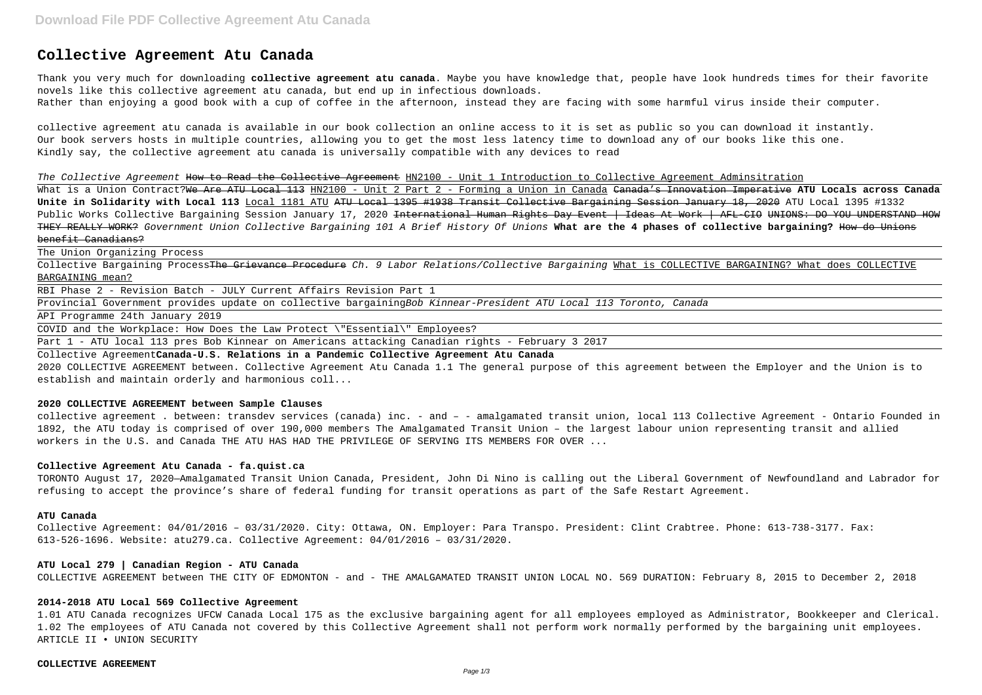# **Collective Agreement Atu Canada**

Thank you very much for downloading **collective agreement atu canada**. Maybe you have knowledge that, people have look hundreds times for their favorite novels like this collective agreement atu canada, but end up in infectious downloads.

Rather than enjoying a good book with a cup of coffee in the afternoon, instead they are facing with some harmful virus inside their computer.

collective agreement atu canada is available in our book collection an online access to it is set as public so you can download it instantly. Our book servers hosts in multiple countries, allowing you to get the most less latency time to download any of our books like this one. Kindly say, the collective agreement atu canada is universally compatible with any devices to read

The Collective Agreement How to Read the Collective Agreement HN2100 - Unit 1 Introduction to Collective Agreement Adminsitration What is a Union Contract?We Are ATU Local 113 HN2100 - Unit 2 Part 2 - Forming a Union in Canada Canada's Innovation Imperative **ATU Locals across Canada Unite in Solidarity with Local 113** Local 1181 ATU ATU Local 1395 #1938 Transit Collective Bargaining Session January 18, 2020 ATU Local 1395 #1332 Public Works Collective Bargaining Session January 17, 2020 <del>International Human Rights Day Event | Ideas At Work | AFL-CIO UNIONS: DO YOU UNDERSTAND HOW</del> THEY REALLY WORK? Government Union Collective Bargaining 101 A Brief History Of Unions **What are the 4 phases of collective bargaining?** How do Unions benefit Canadians?

Collective Bargaining Process<del>The Grievance Procedure</del> Ch. 9 Labor Relations/Collective Bargaining What is COLLECTIVE BARGAINING? What does COLLECTIVE BARGAINING mean?

# The Union Organizing Process

RBI Phase 2 - Revision Batch - JULY Current Affairs Revision Part 1

Provincial Government provides update on collective bargainingBob Kinnear-President ATU Local 113 Toronto, Canada

API Programme 24th January 2019

COVID and the Workplace: How Does the Law Protect \"Essential\" Employees?

Part 1 - ATU local 113 pres Bob Kinnear on Americans attacking Canadian rights - February 3 2017

Collective Agreement**Canada-U.S. Relations in a Pandemic Collective Agreement Atu Canada**

2020 COLLECTIVE AGREEMENT between. Collective Agreement Atu Canada 1.1 The general purpose of this agreement between the Employer and the Union is to establish and maintain orderly and harmonious coll...

# **2020 COLLECTIVE AGREEMENT between Sample Clauses**

collective agreement . between: transdev services (canada) inc. - and – - amalgamated transit union, local 113 Collective Agreement - Ontario Founded in 1892, the ATU today is comprised of over 190,000 members The Amalgamated Transit Union – the largest labour union representing transit and allied workers in the U.S. and Canada THE ATU HAS HAD THE PRIVILEGE OF SERVING ITS MEMBERS FOR OVER ...

## **Collective Agreement Atu Canada - fa.quist.ca**

TORONTO August 17, 2020—Amalgamated Transit Union Canada, President, John Di Nino is calling out the Liberal Government of Newfoundland and Labrador for refusing to accept the province's share of federal funding for transit operations as part of the Safe Restart Agreement.

#### **ATU Canada**

Collective Agreement: 04/01/2016 – 03/31/2020. City: Ottawa, ON. Employer: Para Transpo. President: Clint Crabtree. Phone: 613-738-3177. Fax: 613-526-1696. Website: atu279.ca. Collective Agreement: 04/01/2016 – 03/31/2020.

# **ATU Local 279 | Canadian Region - ATU Canada**

COLLECTIVE AGREEMENT between THE CITY OF EDMONTON - and - THE AMALGAMATED TRANSIT UNION LOCAL NO. 569 DURATION: February 8, 2015 to December 2, 2018

## **2014-2018 ATU Local 569 Collective Agreement**

1.01 ATU Canada recognizes UFCW Canada Local 175 as the exclusive bargaining agent for all employees employed as Administrator, Bookkeeper and Clerical. 1.02 The employees of ATU Canada not covered by this Collective Agreement shall not perform work normally performed by the bargaining unit employees. ARTICLE II • UNION SECURITY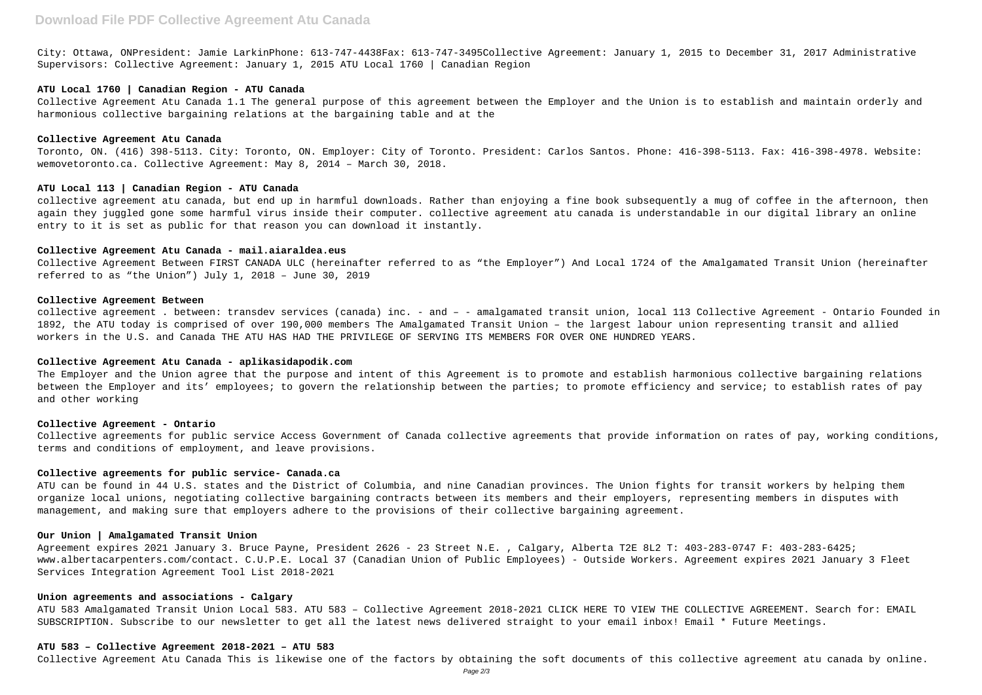# **Download File PDF Collective Agreement Atu Canada**

City: Ottawa, ONPresident: Jamie LarkinPhone: 613-747-4438Fax: 613-747-3495Collective Agreement: January 1, 2015 to December 31, 2017 Administrative Supervisors: Collective Agreement: January 1, 2015 ATU Local 1760 | Canadian Region

## **ATU Local 1760 | Canadian Region - ATU Canada**

Collective Agreement Atu Canada 1.1 The general purpose of this agreement between the Employer and the Union is to establish and maintain orderly and harmonious collective bargaining relations at the bargaining table and at the

#### **Collective Agreement Atu Canada**

Toronto, ON. (416) 398-5113. City: Toronto, ON. Employer: City of Toronto. President: Carlos Santos. Phone: 416-398-5113. Fax: 416-398-4978. Website: wemovetoronto.ca. Collective Agreement: May 8, 2014 – March 30, 2018.

#### **ATU Local 113 | Canadian Region - ATU Canada**

collective agreement atu canada, but end up in harmful downloads. Rather than enjoying a fine book subsequently a mug of coffee in the afternoon, then again they juggled gone some harmful virus inside their computer. collective agreement atu canada is understandable in our digital library an online entry to it is set as public for that reason you can download it instantly.

#### **Collective Agreement Atu Canada - mail.aiaraldea.eus**

Collective Agreement Between FIRST CANADA ULC (hereinafter referred to as "the Employer") And Local 1724 of the Amalgamated Transit Union (hereinafter referred to as "the Union") July 1, 2018 – June 30, 2019

#### **Collective Agreement Between**

collective agreement . between: transdev services (canada) inc. - and – - amalgamated transit union, local 113 Collective Agreement - Ontario Founded in 1892, the ATU today is comprised of over 190,000 members The Amalgamated Transit Union – the largest labour union representing transit and allied workers in the U.S. and Canada THE ATU HAS HAD THE PRIVILEGE OF SERVING ITS MEMBERS FOR OVER ONE HUNDRED YEARS.

#### **Collective Agreement Atu Canada - aplikasidapodik.com**

The Employer and the Union agree that the purpose and intent of this Agreement is to promote and establish harmonious collective bargaining relations between the Employer and its' employees; to govern the relationship between the parties; to promote efficiency and service; to establish rates of pay and other working

#### **Collective Agreement - Ontario**

Collective agreements for public service Access Government of Canada collective agreements that provide information on rates of pay, working conditions, terms and conditions of employment, and leave provisions.

## **Collective agreements for public service- Canada.ca**

ATU can be found in 44 U.S. states and the District of Columbia, and nine Canadian provinces. The Union fights for transit workers by helping them organize local unions, negotiating collective bargaining contracts between its members and their employers, representing members in disputes with management, and making sure that employers adhere to the provisions of their collective bargaining agreement.

#### **Our Union | Amalgamated Transit Union**

Agreement expires 2021 January 3. Bruce Payne, President 2626 - 23 Street N.E. , Calgary, Alberta T2E 8L2 T: 403-283-0747 F: 403-283-6425; www.albertacarpenters.com/contact. C.U.P.E. Local 37 (Canadian Union of Public Employees) - Outside Workers. Agreement expires 2021 January 3 Fleet Services Integration Agreement Tool List 2018-2021

## **Union agreements and associations - Calgary**

ATU 583 Amalgamated Transit Union Local 583. ATU 583 – Collective Agreement 2018-2021 CLICK HERE TO VIEW THE COLLECTIVE AGREEMENT. Search for: EMAIL SUBSCRIPTION. Subscribe to our newsletter to get all the latest news delivered straight to your email inbox! Email \* Future Meetings.

#### **ATU 583 – Collective Agreement 2018-2021 – ATU 583**

Collective Agreement Atu Canada This is likewise one of the factors by obtaining the soft documents of this collective agreement atu canada by online.